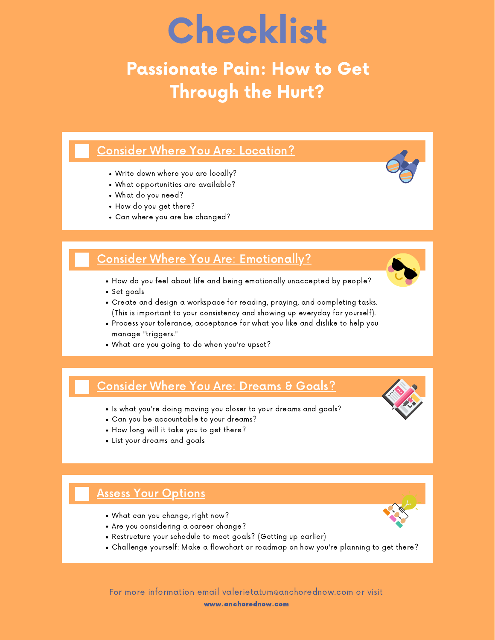# Checklist

## Passionate Pain: How to Get Through the Hurt?

#### Consider Where You Are: Location?

- Write down where you are locally?
- What opportunities are available?
- What do you need?
- How do you get there?
- Can where you are be changed?

#### Consider Where You Are: Emotionally?

- How do you feel about life and being emotionally unaccepted by people?
- Set goals
- Create and design a workspace for reading, praying, and completing tasks. (This is important to your consistency and showing up everyday for yourself).
- Process your tolerance, acceptance for what you like and dislike to help you manage "triggers."
- What are you going to do when you're upset?

### Consider Where You Are: Dreams & Goals?

- Is what you're doing moving you closer to your dreams and goals?
- Can you be accountable to your dreams?
- How long will it take you to get there?
- List your dreams and goals

#### **Assess Your Options**

- What can you change, right now?
- Are you considering a career change?
- Restructure your schedule to meet goals? (Getting up earlier)
- Challenge yourself: Make a flowchart or roadmap on how you're planning to get there?